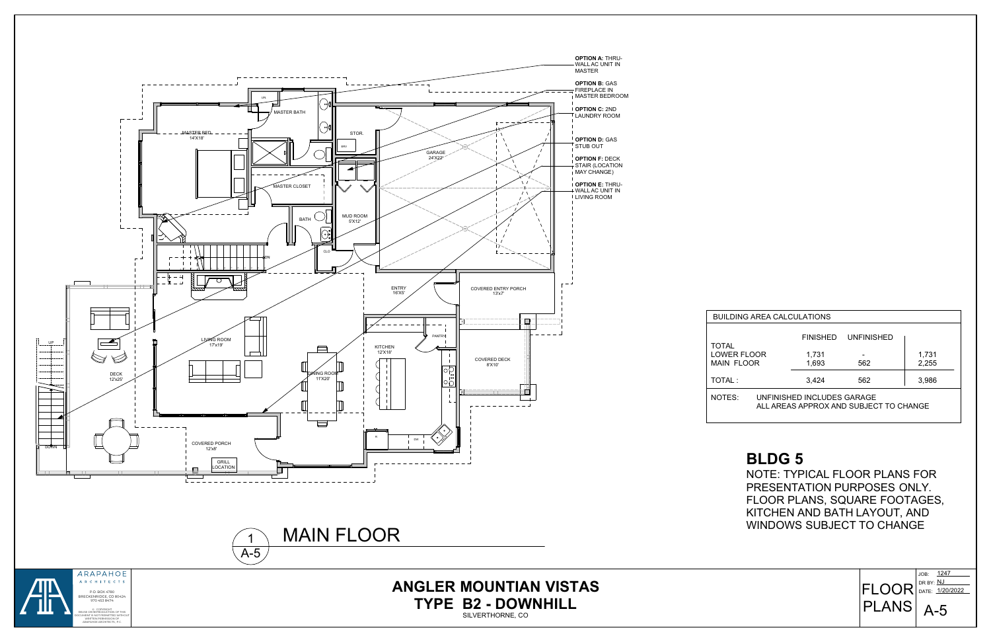

**ANGLER MOUNTIAN VISTAS TYPE B2 - DOWNHILL**

SILVERTHORNE, CO



| <b>BUILDING AREA CALCULATIONS</b>       |                                                                      |                 |                   |                |  |  |  |
|-----------------------------------------|----------------------------------------------------------------------|-----------------|-------------------|----------------|--|--|--|
| <b>TOTAL</b>                            |                                                                      | <b>FINISHED</b> | <b>UNFINISHED</b> |                |  |  |  |
| <b>LOWER FLOOR</b><br><b>MAIN FLOOR</b> |                                                                      | 1,731<br>1,693  | 562               | 1,731<br>2,255 |  |  |  |
| TOTAL:                                  |                                                                      | 3,424           | 562               | 3,986          |  |  |  |
| NOTES:                                  | UNFINISHED INCLUDES GARAGE<br>ALL AREAS APPROX AND SUBJECT TO CHANGE |                 |                   |                |  |  |  |